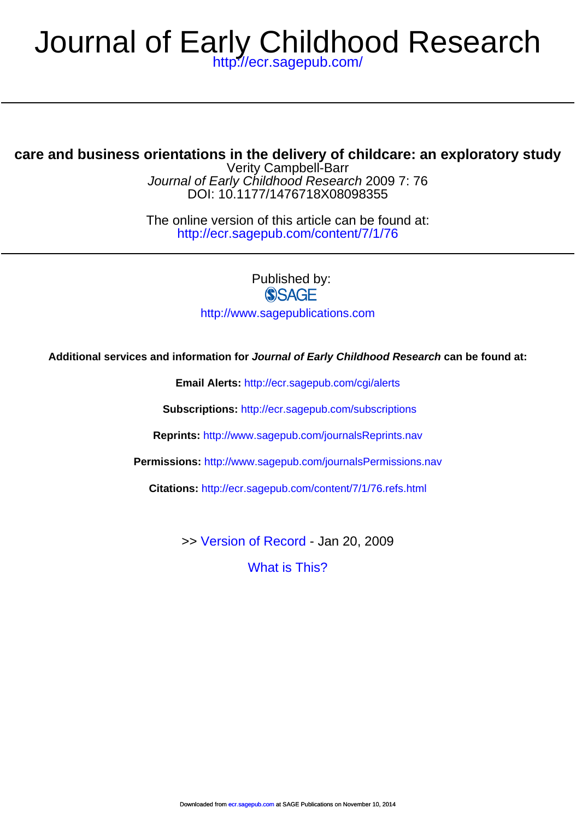## <http://ecr.sagepub.com/> Journal of Early Childhood Research

## **care and business orientations in the delivery of childcare: an exploratory study**

DOI: 10.1177/1476718X08098355 Journal of Early Childhood Research 2009 7: 76 Verity Campbell-Barr

<http://ecr.sagepub.com/content/7/1/76> The online version of this article can be found at:

Published by:<br>
SAGE

<http://www.sagepublications.com>

**Additional services and information for Journal of Early Childhood Research can be found at:**

**Email Alerts:** <http://ecr.sagepub.com/cgi/alerts>

**Subscriptions:** <http://ecr.sagepub.com/subscriptions>

**Reprints:** <http://www.sagepub.com/journalsReprints.nav>

**Permissions:** <http://www.sagepub.com/journalsPermissions.nav>

**Citations:** <http://ecr.sagepub.com/content/7/1/76.refs.html>

>> [Version of Record -](http://ecr.sagepub.com/content/7/1/76.full.pdf) Jan 20, 2009

[What is This?](http://online.sagepub.com/site/sphelp/vorhelp.xhtml)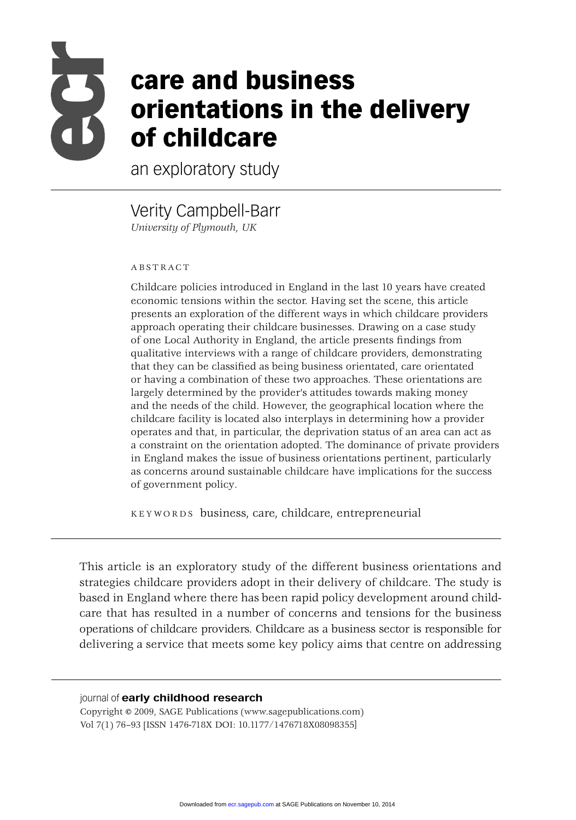

# **care and business orientations in the delivery of childcare**

an exploratory study

Verity Campbell-Barr *University of Plymouth, UK*

#### ABSTRACT

Childcare policies introduced in England in the last 10 years have created economic tensions within the sector. Having set the scene, this article presents an exploration of the different ways in which childcare providers approach operating their childcare businesses. Drawing on a case study of one Local Authority in England, the article presents findings from qualitative interviews with a range of childcare providers, demonstrating that they can be classified as being business orientated, care orientated or having a combination of these two approaches. These orientations are largely determined by the provider's attitudes towards making money and the needs of the child. However, the geographical location where the childcare facility is located also interplays in determining how a provider operates and that, in particular, the deprivation status of an area can act as a constraint on the orientation adopted. The dominance of private providers in England makes the issue of business orientations pertinent, particularly as concerns around sustainable childcare have implications for the success of government policy.

KEYWORDS business, care, childcare, entrepreneurial

This article is an exploratory study of the different business orientations and strategies childcare providers adopt in their delivery of childcare. The study is based in England where there has been rapid policy development around childcare that has resulted in a number of concerns and tensions for the business operations of childcare providers. Childcare as a business sector is responsible for delivering a service that meets some key policy aims that centre on addressing

#### journal of **early childhood research**

Copyright © 2009, SAGE Publications (www.sagepublications.com) Vol 7(1) 76–93 [ISSN 1476-718X DOI: 10.1177/1476718X08098355]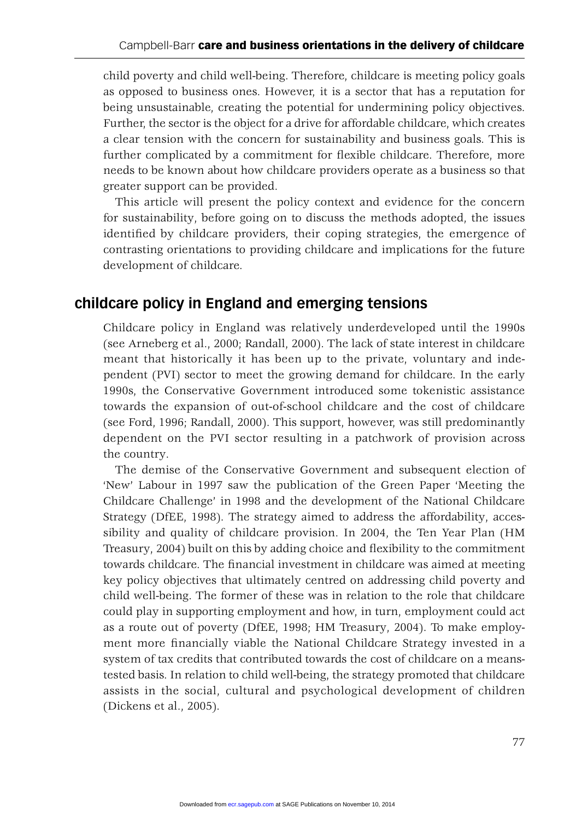child poverty and child well-being. Therefore, childcare is meeting policy goals as opposed to business ones. However, it is a sector that has a reputation for being unsustainable, creating the potential for undermining policy objectives. Further, the sector is the object for a drive for affordable childcare, which creates a clear tension with the concern for sustainability and business goals. This is further complicated by a commitment for flexible childcare. Therefore, more needs to be known about how childcare providers operate as a business so that greater support can be provided.

This article will present the policy context and evidence for the concern for sustainability, before going on to discuss the methods adopted, the issues identified by childcare providers, their coping strategies, the emergence of contrasting orientations to providing childcare and implications for the future development of childcare.

## **childcare policy in England and emerging tensions**

Childcare policy in England was relatively underdeveloped until the 1990s (see Arneberg et al., 2000; Randall, 2000). The lack of state interest in childcare meant that historically it has been up to the private, voluntary and independent (PVI) sector to meet the growing demand for childcare. In the early 1990s, the Conservative Government introduced some tokenistic assistance towards the expansion of out-of-school childcare and the cost of childcare (see Ford, 1996; Randall, 2000). This support, however, was still predominantly dependent on the PVI sector resulting in a patchwork of provision across the country.

The demise of the Conservative Government and subsequent election of 'New' Labour in 1997 saw the publication of the Green Paper 'Meeting the Childcare Challenge' in 1998 and the development of the National Childcare Strategy (DfEE, 1998). The strategy aimed to address the affordability, accessibility and quality of childcare provision. In 2004, the Ten Year Plan (HM Treasury, 2004) built on this by adding choice and flexibility to the commitment towards childcare. The financial investment in childcare was aimed at meeting key policy objectives that ultimately centred on addressing child poverty and child well-being. The former of these was in relation to the role that childcare could play in supporting employment and how, in turn, employment could act as a route out of poverty (DfEE, 1998; HM Treasury, 2004). To make employment more financially viable the National Childcare Strategy invested in a system of tax credits that contributed towards the cost of childcare on a meanstested basis. In relation to child well-being, the strategy promoted that childcare assists in the social, cultural and psychological development of children (Dickens et al., 2005).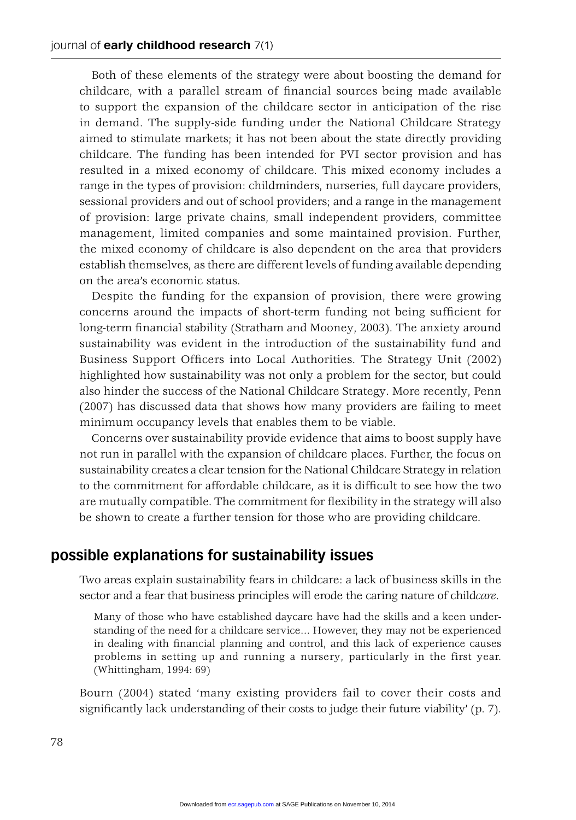Both of these elements of the strategy were about boosting the demand for childcare, with a parallel stream of financial sources being made available to support the expansion of the childcare sector in anticipation of the rise in demand. The supply-side funding under the National Childcare Strategy aimed to stimulate markets; it has not been about the state directly providing childcare. The funding has been intended for PVI sector provision and has resulted in a mixed economy of childcare. This mixed economy includes a range in the types of provision: childminders, nurseries, full daycare providers, sessional providers and out of school providers; and a range in the management of provision: large private chains, small independent providers, committee management, limited companies and some maintained provision. Further, the mixed economy of childcare is also dependent on the area that providers establish themselves, as there are different levels of funding available depending on the area's economic status.

Despite the funding for the expansion of provision, there were growing concerns around the impacts of short-term funding not being sufficient for long-term financial stability (Stratham and Mooney, 2003). The anxiety around sustainability was evident in the introduction of the sustainability fund and Business Support Officers into Local Authorities. The Strategy Unit (2002) highlighted how sustainability was not only a problem for the sector, but could also hinder the success of the National Childcare Strategy. More recently, Penn (2007) has discussed data that shows how many providers are failing to meet minimum occupancy levels that enables them to be viable.

Concerns over sustainability provide evidence that aims to boost supply have not run in parallel with the expansion of childcare places. Further, the focus on sustainability creates a clear tension for the National Childcare Strategy in relation to the commitment for affordable childcare, as it is difficult to see how the two are mutually compatible. The commitment for flexibility in the strategy will also be shown to create a further tension for those who are providing childcare.

## **possible explanations for sustainability issues**

Two areas explain sustainability fears in childcare: a lack of business skills in the sector and a fear that business principles will erode the caring nature of child*care*.

Many of those who have established daycare have had the skills and a keen understanding of the need for a childcare service… However, they may not be experienced in dealing with financial planning and control, and this lack of experience causes problems in setting up and running a nursery, particularly in the first year. (Whittingham, 1994: 69)

Bourn (2004) stated 'many existing providers fail to cover their costs and significantly lack understanding of their costs to judge their future viability'  $(p, 7)$ .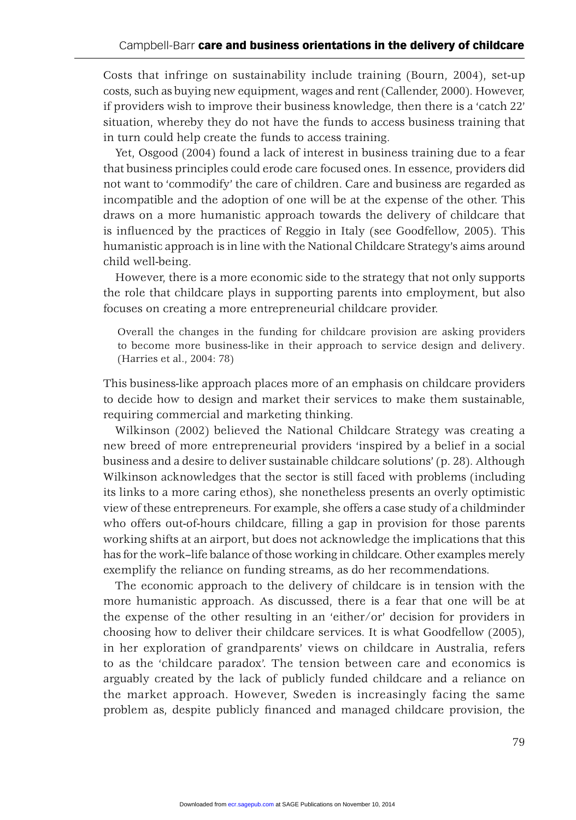Costs that infringe on sustainability include training (Bourn, 2004), set-up costs, such as buying new equipment, wages and rent (Callender, 2000). However, if providers wish to improve their business knowledge, then there is a 'catch 22' situation, whereby they do not have the funds to access business training that in turn could help create the funds to access training.

Yet, Osgood (2004) found a lack of interest in business training due to a fear that business principles could erode care focused ones. In essence, providers did not want to 'commodify' the care of children. Care and business are regarded as incompatible and the adoption of one will be at the expense of the other. This draws on a more humanistic approach towards the delivery of childcare that is influenced by the practices of Reggio in Italy (see Goodfellow, 2005). This humanistic approach is in line with the National Childcare Strategy's aims around child well-being.

However, there is a more economic side to the strategy that not only supports the role that childcare plays in supporting parents into employment, but also focuses on creating a more entrepreneurial childcare provider.

Overall the changes in the funding for childcare provision are asking providers to become more business-like in their approach to service design and delivery. (Harries et al., 2004: 78)

This business-like approach places more of an emphasis on childcare providers to decide how to design and market their services to make them sustainable, requiring commercial and marketing thinking.

Wilkinson (2002) believed the National Childcare Strategy was creating a new breed of more entrepreneurial providers 'inspired by a belief in a social business and a desire to deliver sustainable childcare solutions' (p. 28). Although Wilkinson acknowledges that the sector is still faced with problems (including its links to a more caring ethos), she nonetheless presents an overly optimistic view of these entrepreneurs. For example, she offers a case study of a childminder who offers out-of-hours childcare, filling a gap in provision for those parents working shifts at an airport, but does not acknowledge the implications that this has for the work–life balance of those working in childcare. Other examples merely exemplify the reliance on funding streams, as do her recommendations.

The economic approach to the delivery of childcare is in tension with the more humanistic approach. As discussed, there is a fear that one will be at the expense of the other resulting in an 'either/or' decision for providers in choosing how to deliver their childcare services. It is what Goodfellow (2005), in her exploration of grandparents' views on childcare in Australia, refers to as the 'childcare paradox'. The tension between care and economics is arguably created by the lack of publicly funded childcare and a reliance on the market approach. However, Sweden is increasingly facing the same problem as, despite publicly financed and managed childcare provision, the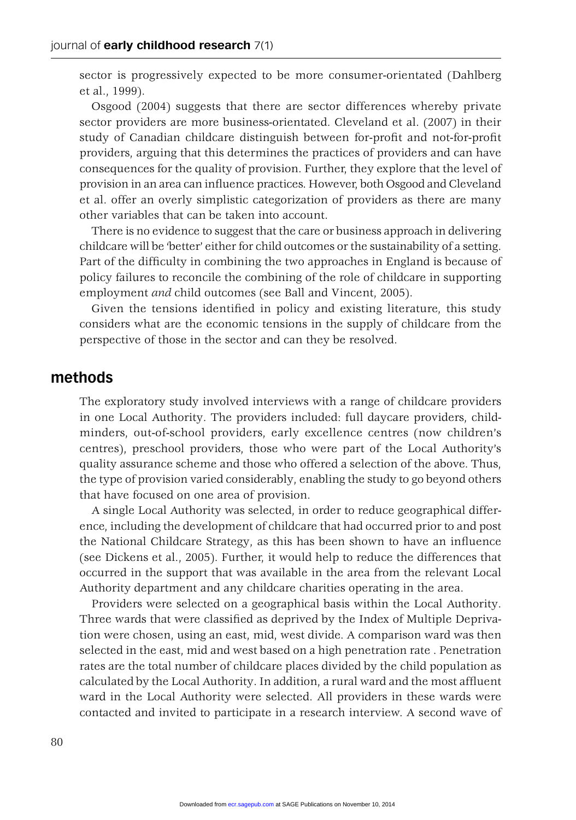sector is progressively expected to be more consumer-orientated (Dahlberg et al., 1999).

Osgood (2004) suggests that there are sector differences whereby private sector providers are more business-orientated. Cleveland et al. (2007) in their study of Canadian childcare distinguish between for-profit and not-for-profit providers, arguing that this determines the practices of providers and can have consequences for the quality of provision. Further, they explore that the level of provision in an area can influence practices. However, both Osgood and Cleveland et al. offer an overly simplistic categorization of providers as there are many other variables that can be taken into account.

There is no evidence to suggest that the care or business approach in delivering childcare will be 'better' either for child outcomes or the sustainability of a setting. Part of the difficulty in combining the two approaches in England is because of policy failures to reconcile the combining of the role of childcare in supporting employment *and* child outcomes (see Ball and Vincent, 2005).

Given the tensions identified in policy and existing literature, this study considers what are the economic tensions in the supply of childcare from the perspective of those in the sector and can they be resolved.

## **methods**

The exploratory study involved interviews with a range of childcare providers in one Local Authority. The providers included: full daycare providers, childminders, out-of-school providers, early excellence centres (now children's centres), preschool providers, those who were part of the Local Authority's quality assurance scheme and those who offered a selection of the above. Thus, the type of provision varied considerably, enabling the study to go beyond others that have focused on one area of provision.

A single Local Authority was selected, in order to reduce geographical difference, including the development of childcare that had occurred prior to and post the National Childcare Strategy, as this has been shown to have an influence (see Dickens et al., 2005). Further, it would help to reduce the differences that occurred in the support that was available in the area from the relevant Local Authority department and any childcare charities operating in the area.

Providers were selected on a geographical basis within the Local Authority. Three wards that were classified as deprived by the Index of Multiple Deprivation were chosen, using an east, mid, west divide. A comparison ward was then selected in the east, mid and west based on a high penetration rate . Penetration rates are the total number of childcare places divided by the child population as calculated by the Local Authority. In addition, a rural ward and the most affluent ward in the Local Authority were selected. All providers in these wards were contacted and invited to participate in a research interview. A second wave of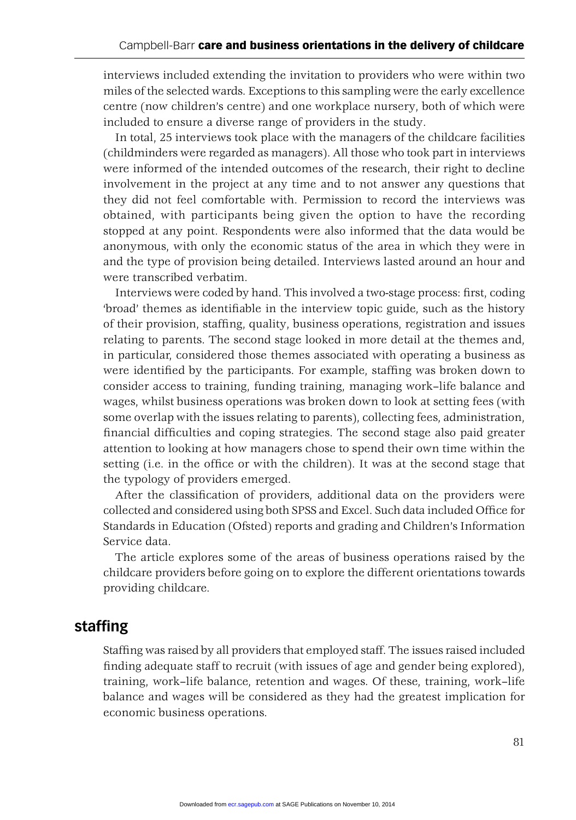interviews included extending the invitation to providers who were within two miles of the selected wards. Exceptions to this sampling were the early excellence centre (now children's centre) and one workplace nursery, both of which were included to ensure a diverse range of providers in the study.

In total, 25 interviews took place with the managers of the childcare facilities (childminders were regarded as managers). All those who took part in interviews were informed of the intended outcomes of the research, their right to decline involvement in the project at any time and to not answer any questions that they did not feel comfortable with. Permission to record the interviews was obtained, with participants being given the option to have the recording stopped at any point. Respondents were also informed that the data would be anonymous, with only the economic status of the area in which they were in and the type of provision being detailed. Interviews lasted around an hour and were transcribed verbatim.

Interviews were coded by hand. This involved a two-stage process: first, coding 'broad' themes as identifiable in the interview topic guide, such as the history of their provision, staffing, quality, business operations, registration and issues relating to parents. The second stage looked in more detail at the themes and, in particular, considered those themes associated with operating a business as were identified by the participants. For example, staffing was broken down to consider access to training, funding training, managing work–life balance and wages, whilst business operations was broken down to look at setting fees (with some overlap with the issues relating to parents), collecting fees, administration, financial difficulties and coping strategies. The second stage also paid greater attention to looking at how managers chose to spend their own time within the setting (i.e. in the office or with the children). It was at the second stage that the typology of providers emerged.

After the classification of providers, additional data on the providers were collected and considered using both SPSS and Excel. Such data included Office for Standards in Education (Ofsted) reports and grading and Children's Information Service data.

The article explores some of the areas of business operations raised by the childcare providers before going on to explore the different orientations towards providing childcare.

## **staffing**

Staffing was raised by all providers that employed staff. The issues raised included finding adequate staff to recruit (with issues of age and gender being explored), training, work–life balance, retention and wages. Of these, training, work–life balance and wages will be considered as they had the greatest implication for economic business operations.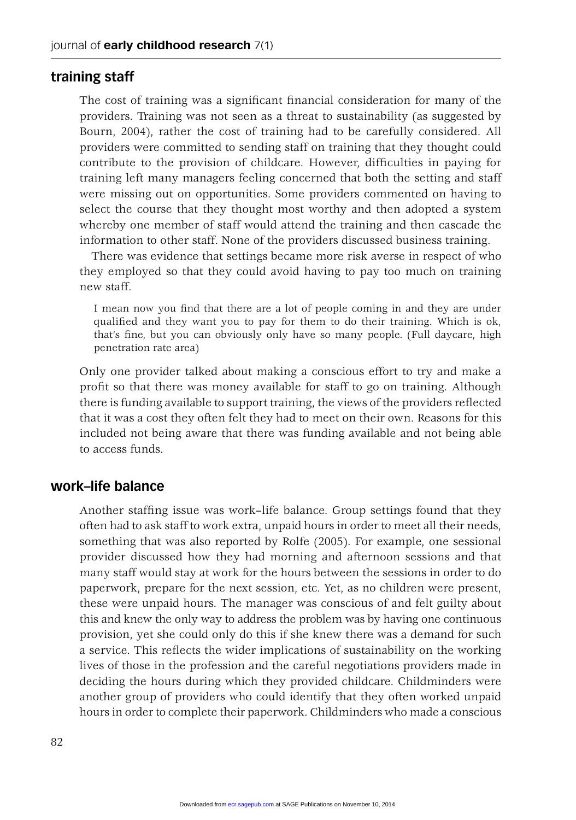#### **training staff**

The cost of training was a significant financial consideration for many of the providers. Training was not seen as a threat to sustainability (as suggested by Bourn, 2004), rather the cost of training had to be carefully considered. All providers were committed to sending staff on training that they thought could contribute to the provision of childcare. However, difficulties in paying for training left many managers feeling concerned that both the setting and staff were missing out on opportunities. Some providers commented on having to select the course that they thought most worthy and then adopted a system whereby one member of staff would attend the training and then cascade the information to other staff. None of the providers discussed business training.

There was evidence that settings became more risk averse in respect of who they employed so that they could avoid having to pay too much on training new staff.

I mean now you find that there are a lot of people coming in and they are under qualified and they want you to pay for them to do their training. Which is ok, that's fine, but you can obviously only have so many people. (Full daycare, high penetration rate area)

Only one provider talked about making a conscious effort to try and make a profit so that there was money available for staff to go on training. Although there is funding available to support training, the views of the providers reflected that it was a cost they often felt they had to meet on their own. Reasons for this included not being aware that there was funding available and not being able to access funds.

#### **work–life balance**

Another staffing issue was work–life balance. Group settings found that they often had to ask staff to work extra, unpaid hours in order to meet all their needs, something that was also reported by Rolfe (2005). For example, one sessional provider discussed how they had morning and afternoon sessions and that many staff would stay at work for the hours between the sessions in order to do paperwork, prepare for the next session, etc. Yet, as no children were present, these were unpaid hours. The manager was conscious of and felt guilty about this and knew the only way to address the problem was by having one continuous provision, yet she could only do this if she knew there was a demand for such a service. This reflects the wider implications of sustainability on the working lives of those in the profession and the careful negotiations providers made in deciding the hours during which they provided childcare. Childminders were another group of providers who could identify that they often worked unpaid hours in order to complete their paperwork. Childminders who made a conscious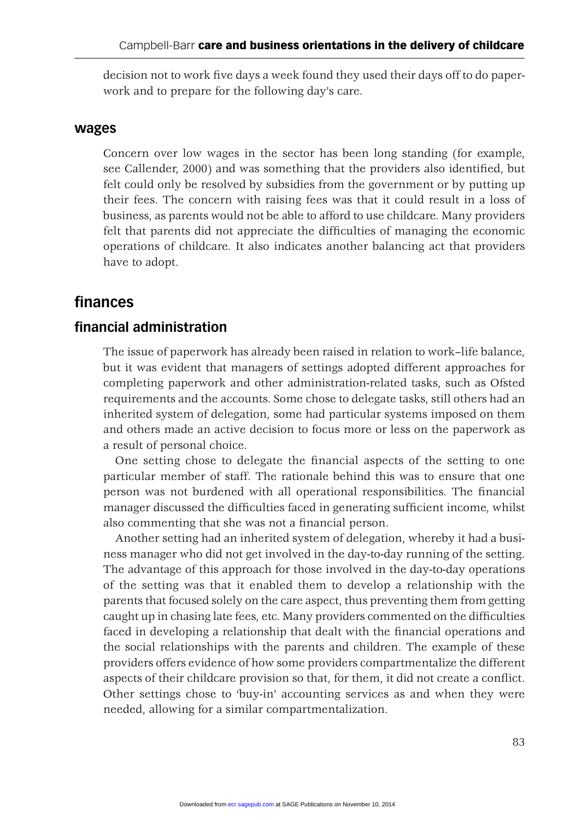decision not to work five days a week found they used their days off to do paperwork and to prepare for the following day's care.

#### **wages**

Concern over low wages in the sector has been long standing (for example, see Callender, 2000) and was something that the providers also identified, but felt could only be resolved by subsidies from the government or by putting up their fees. The concern with raising fees was that it could result in a loss of business, as parents would not be able to afford to use childcare. Many providers felt that parents did not appreciate the difficulties of managing the economic operations of childcare. It also indicates another balancing act that providers have to adopt.

## **fi nances**

### **fi nancial administration**

The issue of paperwork has already been raised in relation to work–life balance, but it was evident that managers of settings adopted different approaches for completing paperwork and other administration-related tasks, such as Ofsted requirements and the accounts. Some chose to delegate tasks, still others had an inherited system of delegation, some had particular systems imposed on them and others made an active decision to focus more or less on the paperwork as a result of personal choice.

One setting chose to delegate the financial aspects of the setting to one particular member of staff. The rationale behind this was to ensure that one person was not burdened with all operational responsibilities. The financial manager discussed the difficulties faced in generating sufficient income, whilst also commenting that she was not a financial person.

Another setting had an inherited system of delegation, whereby it had a business manager who did not get involved in the day-to-day running of the setting. The advantage of this approach for those involved in the day-to-day operations of the setting was that it enabled them to develop a relationship with the parents that focused solely on the care aspect, thus preventing them from getting caught up in chasing late fees, etc. Many providers commented on the difficulties faced in developing a relationship that dealt with the financial operations and the social relationships with the parents and children. The example of these providers offers evidence of how some providers compartmentalize the different aspects of their childcare provision so that, for them, it did not create a conflict. Other settings chose to 'buy-in' accounting services as and when they were needed, allowing for a similar compartmentalization.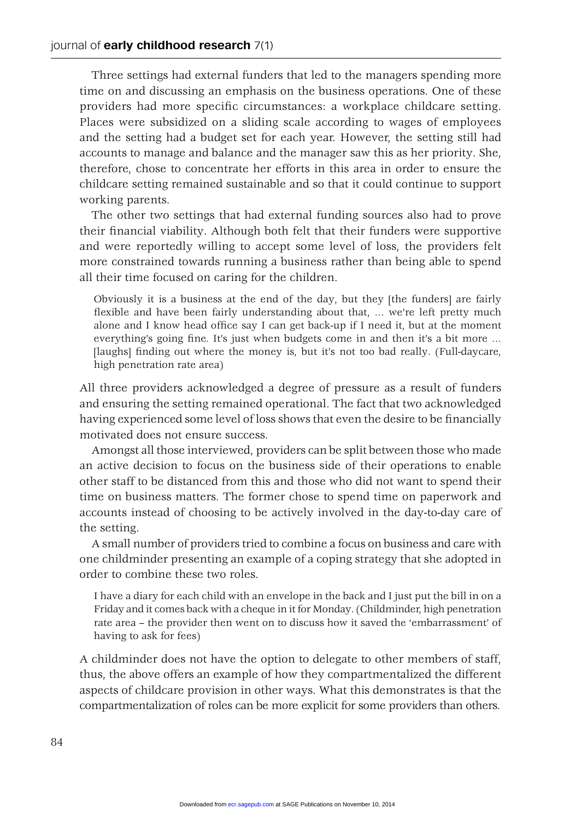Three settings had external funders that led to the managers spending more time on and discussing an emphasis on the business operations. One of these providers had more specific circumstances: a workplace childcare setting. Places were subsidized on a sliding scale according to wages of employees and the setting had a budget set for each year. However, the setting still had accounts to manage and balance and the manager saw this as her priority. She, therefore, chose to concentrate her efforts in this area in order to ensure the childcare setting remained sustainable and so that it could continue to support working parents.

The other two settings that had external funding sources also had to prove their financial viability. Although both felt that their funders were supportive and were reportedly willing to accept some level of loss, the providers felt more constrained towards running a business rather than being able to spend all their time focused on caring for the children.

Obviously it is a business at the end of the day, but they [the funders] are fairly flexible and have been fairly understanding about that, ... we're left pretty much alone and I know head office say I can get back-up if I need it, but at the moment everything's going fine. It's just when budgets come in and then it's a bit more ... [laughs] finding out where the money is, but it's not too bad really. (Full-daycare, high penetration rate area)

All three providers acknowledged a degree of pressure as a result of funders and ensuring the setting remained operational. The fact that two acknowledged having experienced some level of loss shows that even the desire to be financially motivated does not ensure success.

Amongst all those interviewed, providers can be split between those who made an active decision to focus on the business side of their operations to enable other staff to be distanced from this and those who did not want to spend their time on business matters. The former chose to spend time on paperwork and accounts instead of choosing to be actively involved in the day-to-day care of the setting.

A small number of providers tried to combine a focus on business and care with one childminder presenting an example of a coping strategy that she adopted in order to combine these two roles.

I have a diary for each child with an envelope in the back and I just put the bill in on a Friday and it comes back with a cheque in it for Monday. (Childminder, high penetration rate area – the provider then went on to discuss how it saved the 'embarrassment' of having to ask for fees)

A childminder does not have the option to delegate to other members of staff, thus, the above offers an example of how they compartmentalized the different aspects of childcare provision in other ways. What this demonstrates is that the compartmentalization of roles can be more explicit for some providers than others.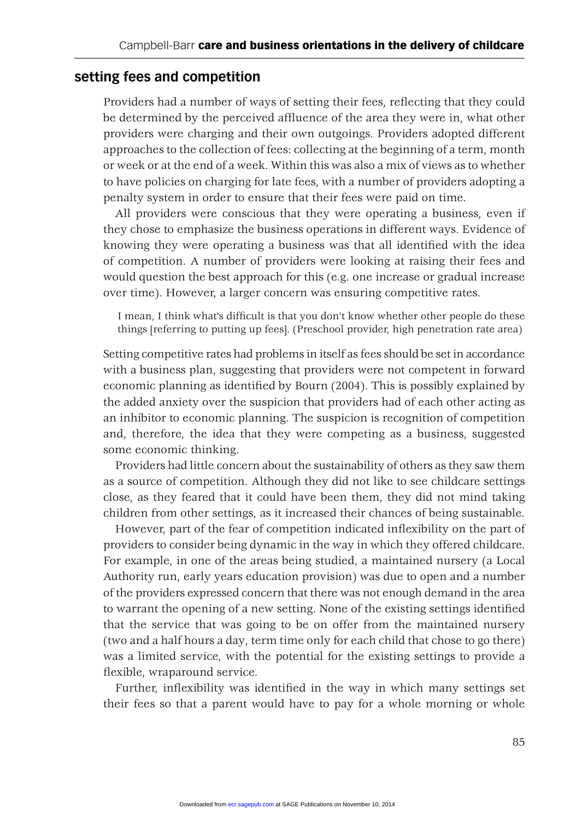## **setting fees and competition**

Providers had a number of ways of setting their fees, reflecting that they could be determined by the perceived affluence of the area they were in, what other providers were charging and their own outgoings. Providers adopted different approaches to the collection of fees: collecting at the beginning of a term, month or week or at the end of a week. Within this was also a mix of views as to whether to have policies on charging for late fees, with a number of providers adopting a penalty system in order to ensure that their fees were paid on time.

All providers were conscious that they were operating a business, even if they chose to emphasize the business operations in different ways. Evidence of knowing they were operating a business was that all identified with the idea of competition. A number of providers were looking at raising their fees and would question the best approach for this (e.g. one increase or gradual increase over time). However, a larger concern was ensuring competitive rates.

I mean, I think what's difficult is that you don't know whether other people do these things [referring to putting up fees]. (Preschool provider, high penetration rate area)

Setting competitive rates had problems in itself as fees should be set in accordance with a business plan, suggesting that providers were not competent in forward economic planning as identified by Bourn (2004). This is possibly explained by the added anxiety over the suspicion that providers had of each other acting as an inhibitor to economic planning. The suspicion is recognition of competition and, therefore, the idea that they were competing as a business, suggested some economic thinking.

Providers had little concern about the sustainability of others as they saw them as a source of competition. Although they did not like to see childcare settings close, as they feared that it could have been them, they did not mind taking children from other settings, as it increased their chances of being sustainable.

However, part of the fear of competition indicated inflexibility on the part of providers to consider being dynamic in the way in which they offered childcare. For example, in one of the areas being studied, a maintained nursery (a Local Authority run, early years education provision) was due to open and a number of the providers expressed concern that there was not enough demand in the area to warrant the opening of a new setting. None of the existing settings identified that the service that was going to be on offer from the maintained nursery (two and a half hours a day, term time only for each child that chose to go there) was a limited service, with the potential for the existing settings to provide a flexible, wraparound service.

Further, inflexibility was identified in the way in which many settings set their fees so that a parent would have to pay for a whole morning or whole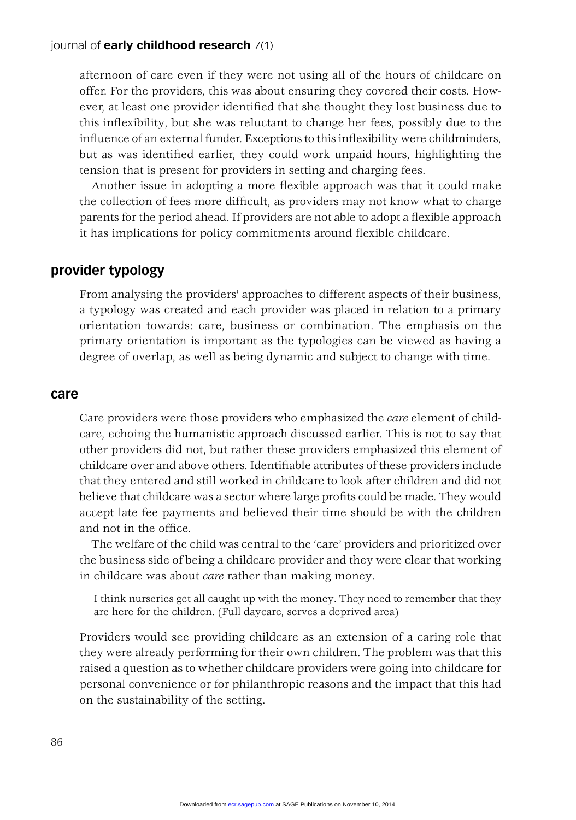afternoon of care even if they were not using all of the hours of childcare on offer. For the providers, this was about ensuring they covered their costs. However, at least one provider identified that she thought they lost business due to this inflexibility, but she was reluctant to change her fees, possibly due to the influence of an external funder. Exceptions to this inflexibility were childminders, but as was identified earlier, they could work unpaid hours, highlighting the tension that is present for providers in setting and charging fees.

Another issue in adopting a more flexible approach was that it could make the collection of fees more difficult, as providers may not know what to charge parents for the period ahead. If providers are not able to adopt a flexible approach it has implications for policy commitments around flexible childcare.

#### **provider typology**

From analysing the providers' approaches to different aspects of their business, a typology was created and each provider was placed in relation to a primary orientation towards: care, business or combination. The emphasis on the primary orientation is important as the typologies can be viewed as having a degree of overlap, as well as being dynamic and subject to change with time.

#### **care**

Care providers were those providers who emphasized the *care* element of childcare, echoing the humanistic approach discussed earlier. This is not to say that other providers did not, but rather these providers emphasized this element of childcare over and above others. Identifiable attributes of these providers include that they entered and still worked in childcare to look after children and did not believe that childcare was a sector where large profits could be made. They would accept late fee payments and believed their time should be with the children and not in the office.

The welfare of the child was central to the 'care' providers and prioritized over the business side of being a childcare provider and they were clear that working in childcare was about *care* rather than making money.

I think nurseries get all caught up with the money. They need to remember that they are here for the children. (Full daycare, serves a deprived area)

Providers would see providing childcare as an extension of a caring role that they were already performing for their own children. The problem was that this raised a question as to whether childcare providers were going into childcare for personal convenience or for philanthropic reasons and the impact that this had on the sustainability of the setting.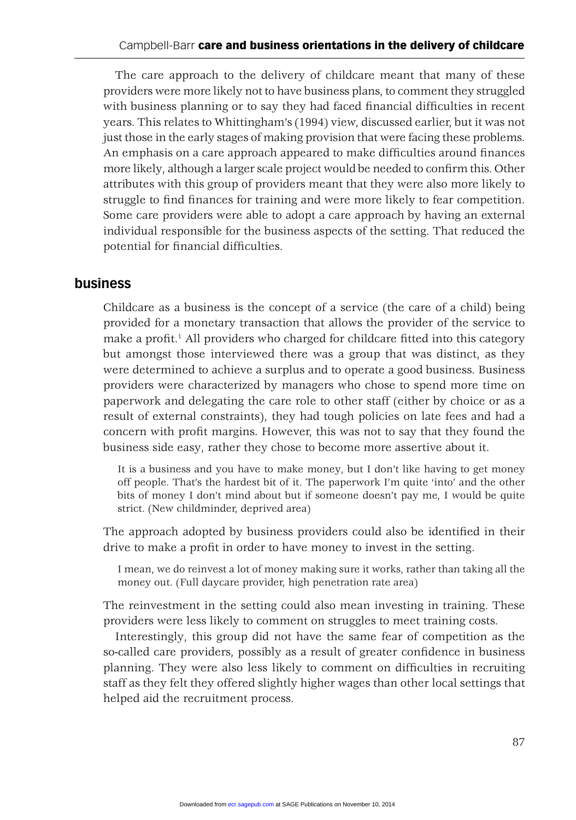The care approach to the delivery of childcare meant that many of these providers were more likely not to have business plans, to comment they struggled with business planning or to say they had faced financial difficulties in recent years. This relates to Whittingham's (1994) view, discussed earlier, but it was not just those in the early stages of making provision that were facing these problems. An emphasis on a care approach appeared to make difficulties around finances more likely, although a larger scale project would be needed to confirm this. Other attributes with this group of providers meant that they were also more likely to struggle to find finances for training and were more likely to fear competition. Some care providers were able to adopt a care approach by having an external individual responsible for the business aspects of the setting. That reduced the potential for financial difficulties.

#### **business**

Childcare as a business is the concept of a service (the care of a child) being provided for a monetary transaction that allows the provider of the service to make a profit.<sup>1</sup> All providers who charged for childcare fitted into this category but amongst those interviewed there was a group that was distinct, as they were determined to achieve a surplus and to operate a good business. Business providers were characterized by managers who chose to spend more time on paperwork and delegating the care role to other staff (either by choice or as a result of external constraints), they had tough policies on late fees and had a concern with profit margins. However, this was not to say that they found the business side easy, rather they chose to become more assertive about it.

It is a business and you have to make money, but I don't like having to get money off people. That's the hardest bit of it. The paperwork I'm quite 'into' and the other bits of money I don't mind about but if someone doesn't pay me, I would be quite strict. (New childminder, deprived area)

The approach adopted by business providers could also be identified in their drive to make a profit in order to have money to invest in the setting.

I mean, we do reinvest a lot of money making sure it works, rather than taking all the money out. (Full daycare provider, high penetration rate area)

The reinvestment in the setting could also mean investing in training. These providers were less likely to comment on struggles to meet training costs.

Interestingly, this group did not have the same fear of competition as the so-called care providers, possibly as a result of greater confidence in business planning. They were also less likely to comment on difficulties in recruiting staff as they felt they offered slightly higher wages than other local settings that helped aid the recruitment process.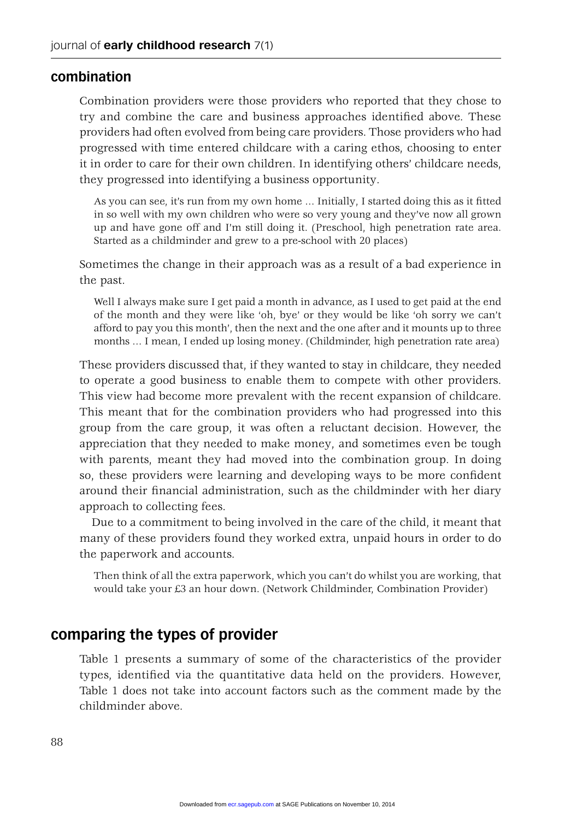#### **combination**

Combination providers were those providers who reported that they chose to try and combine the care and business approaches identified above. These providers had often evolved from being care providers. Those providers who had progressed with time entered childcare with a caring ethos, choosing to enter it in order to care for their own children. In identifying others' childcare needs, they progressed into identifying a business opportunity.

As you can see, it's run from my own home ... Initially, I started doing this as it fitted in so well with my own children who were so very young and they've now all grown up and have gone off and I'm still doing it. (Preschool, high penetration rate area. Started as a childminder and grew to a pre-school with 20 places)

Sometimes the change in their approach was as a result of a bad experience in the past.

Well I always make sure I get paid a month in advance, as I used to get paid at the end of the month and they were like 'oh, bye' or they would be like 'oh sorry we can't afford to pay you this month', then the next and the one after and it mounts up to three months … I mean, I ended up losing money. (Childminder, high penetration rate area)

These providers discussed that, if they wanted to stay in childcare, they needed to operate a good business to enable them to compete with other providers. This view had become more prevalent with the recent expansion of childcare. This meant that for the combination providers who had progressed into this group from the care group, it was often a reluctant decision. However, the appreciation that they needed to make money, and sometimes even be tough with parents, meant they had moved into the combination group. In doing so, these providers were learning and developing ways to be more confident around their financial administration, such as the childminder with her diary approach to collecting fees.

Due to a commitment to being involved in the care of the child, it meant that many of these providers found they worked extra, unpaid hours in order to do the paperwork and accounts.

Then think of all the extra paperwork, which you can't do whilst you are working, that would take your £3 an hour down. (Network Childminder, Combination Provider)

## **comparing the types of provider**

Table 1 presents a summary of some of the characteristics of the provider types, identified via the quantitative data held on the providers. However, Table 1 does not take into account factors such as the comment made by the childminder above.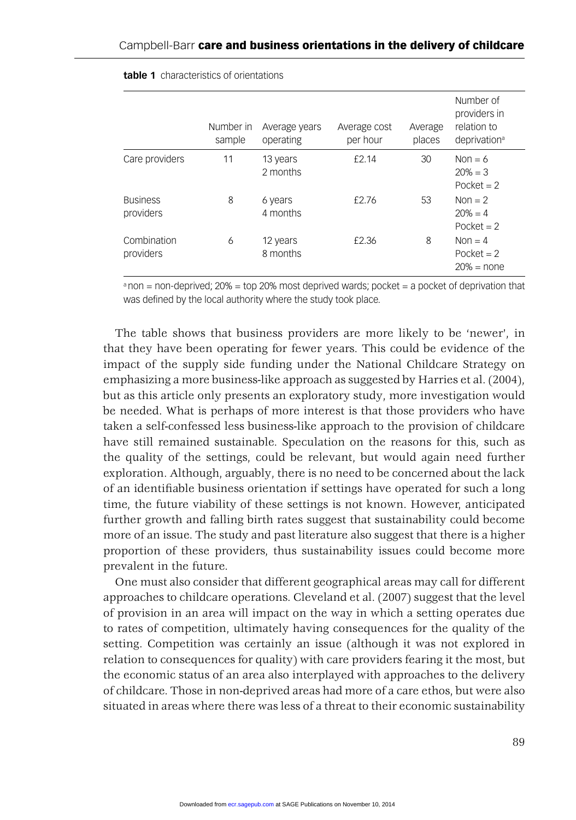|                              | Number in<br>sample | Average years<br>operating | Average cost<br>per hour | Average<br>places | Number of<br>providers in<br>relation to<br>deprivation <sup>a</sup> |
|------------------------------|---------------------|----------------------------|--------------------------|-------------------|----------------------------------------------------------------------|
| Care providers               | 11                  | 13 years<br>2 months       | £2.14                    | 30                | Non = $6$<br>$20% = 3$<br>Pocket $= 2$                               |
| <b>Business</b><br>providers | 8                   | 6 years<br>4 months        | £2.76                    | 53                | Non $= 2$<br>$20% = 4$<br>Pocket $= 2$                               |
| Combination<br>providers     | 6                   | 12 years<br>8 months       | £2.36                    | 8                 | Non $=$ 4<br>Pocket $= 2$<br>$20% = none$                            |

#### **table 1** characteristics of orientations

 $a$  non = non-deprived; 20% = top 20% most deprived wards; pocket = a pocket of deprivation that was defined by the local authority where the study took place.

The table shows that business providers are more likely to be 'newer', in that they have been operating for fewer years. This could be evidence of the impact of the supply side funding under the National Childcare Strategy on emphasizing a more business-like approach as suggested by Harries et al. (2004), but as this article only presents an exploratory study, more investigation would be needed. What is perhaps of more interest is that those providers who have taken a self-confessed less business-like approach to the provision of childcare have still remained sustainable. Speculation on the reasons for this, such as the quality of the settings, could be relevant, but would again need further exploration. Although, arguably, there is no need to be concerned about the lack of an identifi able business orientation if settings have operated for such a long time, the future viability of these settings is not known. However, anticipated further growth and falling birth rates suggest that sustainability could become more of an issue. The study and past literature also suggest that there is a higher proportion of these providers, thus sustainability issues could become more prevalent in the future.

One must also consider that different geographical areas may call for different approaches to childcare operations. Cleveland et al. (2007) suggest that the level of provision in an area will impact on the way in which a setting operates due to rates of competition, ultimately having consequences for the quality of the setting. Competition was certainly an issue (although it was not explored in relation to consequences for quality) with care providers fearing it the most, but the economic status of an area also interplayed with approaches to the delivery of childcare. Those in non-deprived areas had more of a care ethos, but were also situated in areas where there was less of a threat to their economic sustainability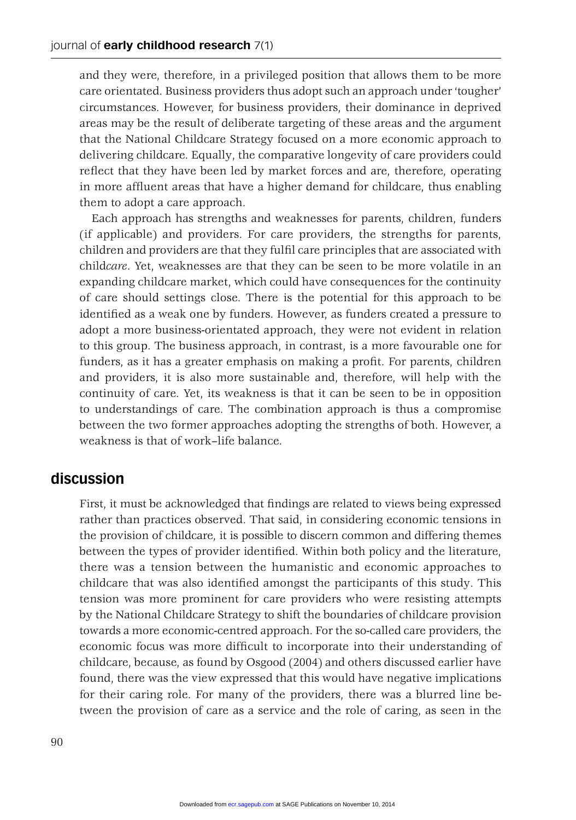and they were, therefore, in a privileged position that allows them to be more care orientated. Business providers thus adopt such an approach under 'tougher' circumstances. However, for business providers, their dominance in deprived areas may be the result of deliberate targeting of these areas and the argument that the National Childcare Strategy focused on a more economic approach to delivering childcare. Equally, the comparative longevity of care providers could reflect that they have been led by market forces and are, therefore, operating in more affluent areas that have a higher demand for childcare, thus enabling them to adopt a care approach.

Each approach has strengths and weaknesses for parents, children, funders (if applicable) and providers. For care providers, the strengths for parents, children and providers are that they fulfi l care principles that are associated with child*care*. Yet, weaknesses are that they can be seen to be more volatile in an expanding childcare market, which could have consequences for the continuity of care should settings close. There is the potential for this approach to be identified as a weak one by funders. However, as funders created a pressure to adopt a more business-orientated approach, they were not evident in relation to this group. The business approach, in contrast, is a more favourable one for funders, as it has a greater emphasis on making a profit. For parents, children and providers, it is also more sustainable and, therefore, will help with the continuity of care. Yet, its weakness is that it can be seen to be in opposition to understandings of care. The combination approach is thus a compromise between the two former approaches adopting the strengths of both. However, a weakness is that of work–life balance.

### **discussion**

First, it must be acknowledged that findings are related to views being expressed rather than practices observed. That said, in considering economic tensions in the provision of childcare, it is possible to discern common and differing themes between the types of provider identified. Within both policy and the literature, there was a tension between the humanistic and economic approaches to childcare that was also identified amongst the participants of this study. This tension was more prominent for care providers who were resisting attempts by the National Childcare Strategy to shift the boundaries of childcare provision towards a more economic-centred approach. For the so-called care providers, the economic focus was more difficult to incorporate into their understanding of childcare, because, as found by Osgood (2004) and others discussed earlier have found, there was the view expressed that this would have negative implications for their caring role. For many of the providers, there was a blurred line between the provision of care as a service and the role of caring, as seen in the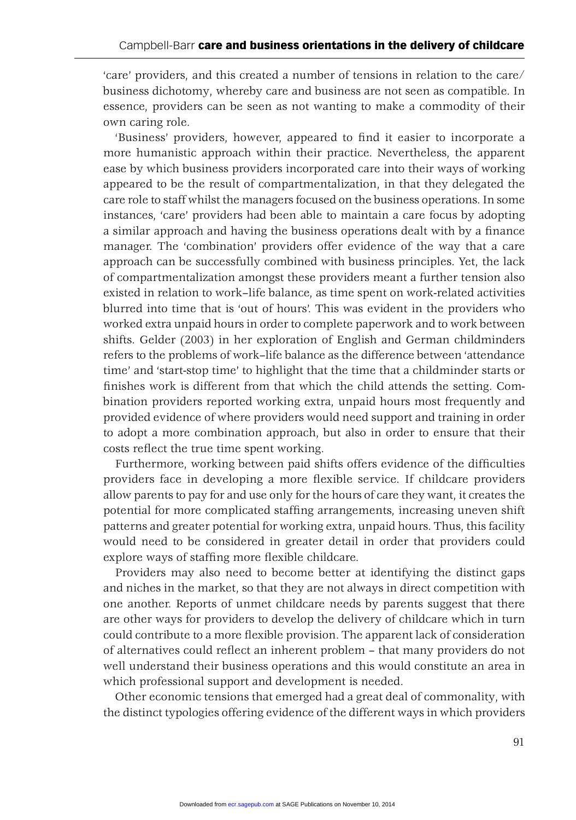'care' providers, and this created a number of tensions in relation to the care/ business dichotomy, whereby care and business are not seen as compatible. In essence, providers can be seen as not wanting to make a commodity of their own caring role.

'Business' providers, however, appeared to find it easier to incorporate a more humanistic approach within their practice. Nevertheless, the apparent ease by which business providers incorporated care into their ways of working appeared to be the result of compartmentalization, in that they delegated the care role to staff whilst the managers focused on the business operations. In some instances, 'care' providers had been able to maintain a care focus by adopting a similar approach and having the business operations dealt with by a finance manager. The 'combination' providers offer evidence of the way that a care approach can be successfully combined with business principles. Yet, the lack of compartmentalization amongst these providers meant a further tension also existed in relation to work–life balance, as time spent on work-related activities blurred into time that is 'out of hours'. This was evident in the providers who worked extra unpaid hours in order to complete paperwork and to work between shifts. Gelder (2003) in her exploration of English and German childminders refers to the problems of work–life balance as the difference between 'attendance time' and 'start-stop time' to highlight that the time that a childminder starts or finishes work is different from that which the child attends the setting. Combination providers reported working extra, unpaid hours most frequently and provided evidence of where providers would need support and training in order to adopt a more combination approach, but also in order to ensure that their costs reflect the true time spent working.

Furthermore, working between paid shifts offers evidence of the difficulties providers face in developing a more flexible service. If childcare providers allow parents to pay for and use only for the hours of care they want, it creates the potential for more complicated staffing arrangements, increasing uneven shift patterns and greater potential for working extra, unpaid hours. Thus, this facility would need to be considered in greater detail in order that providers could explore ways of staffing more flexible childcare.

Providers may also need to become better at identifying the distinct gaps and niches in the market, so that they are not always in direct competition with one another. Reports of unmet childcare needs by parents suggest that there are other ways for providers to develop the delivery of childcare which in turn could contribute to a more flexible provision. The apparent lack of consideration of alternatives could reflect an inherent problem – that many providers do not well understand their business operations and this would constitute an area in which professional support and development is needed.

Other economic tensions that emerged had a great deal of commonality, with the distinct typologies offering evidence of the different ways in which providers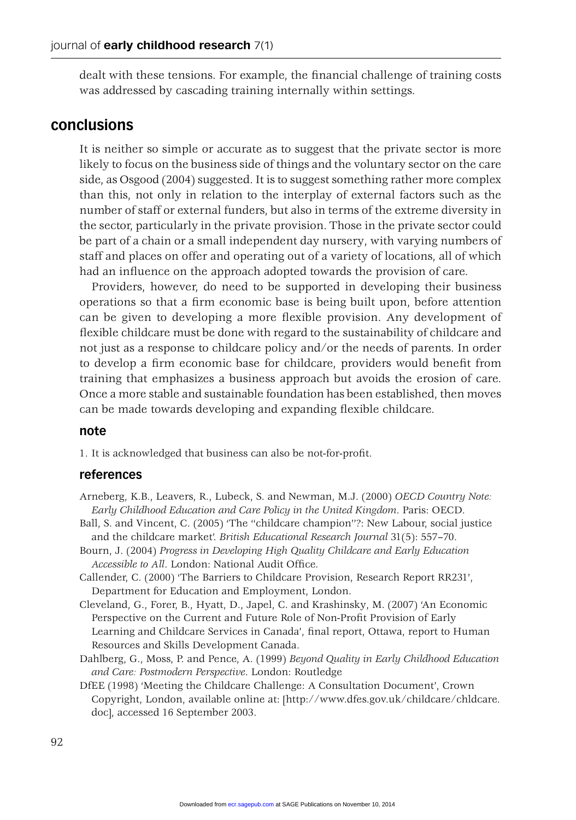dealt with these tensions. For example, the financial challenge of training costs was addressed by cascading training internally within settings.

## **conclusions**

It is neither so simple or accurate as to suggest that the private sector is more likely to focus on the business side of things and the voluntary sector on the care side, as Osgood (2004) suggested. It is to suggest something rather more complex than this, not only in relation to the interplay of external factors such as the number of staff or external funders, but also in terms of the extreme diversity in the sector, particularly in the private provision. Those in the private sector could be part of a chain or a small independent day nursery, with varying numbers of staff and places on offer and operating out of a variety of locations, all of which had an influence on the approach adopted towards the provision of care.

Providers, however, do need to be supported in developing their business operations so that a firm economic base is being built upon, before attention can be given to developing a more flexible provision. Any development of flexible childcare must be done with regard to the sustainability of childcare and not just as a response to childcare policy and/or the needs of parents. In order to develop a firm economic base for childcare, providers would benefit from training that emphasizes a business approach but avoids the erosion of care. Once a more stable and sustainable foundation has been established, then moves can be made towards developing and expanding flexible childcare.

#### **note**

1. It is acknowledged that business can also be not-for-profit.

#### **references**

- Arneberg, K.B., Leavers, R., Lubeck, S. and Newman, M.J. (2000) *OECD Country Note: Early Childhood Education and Care Policy in the United Kingdom*. Paris: OECD.
- Ball, S. and Vincent, C. (2005) 'The ''childcare champion''?: New Labour, social justice and the childcare market'. *British Educational Research Journal* 31(5): 557–70.
- Bourn, J. (2004) *Progress in Developing High Quality Childcare and Early Education*  Accessible to All. London: National Audit Office.
- Callender, C. (2000) 'The Barriers to Childcare Provision, Research Report RR231', Department for Education and Employment, London.
- Cleveland, G., Forer, B., Hyatt, D., Japel, C. and Krashinsky, M. (2007) 'An Economic Perspective on the Current and Future Role of Non-Profit Provision of Early Learning and Childcare Services in Canada', final report, Ottawa, report to Human Resources and Skills Development Canada.
- Dahlberg, G., Moss, P. and Pence, A. (1999) *Beyond Quality in Early Childhood Education and Care: Postmodern Perspective*. London: Routledge
- DfEE (1998) 'Meeting the Childcare Challenge: A Consultation Document', Crown Copyright, London, available online at: [http://www.dfes.gov.uk/childcare/chldcare. doc], accessed 16 September 2003.